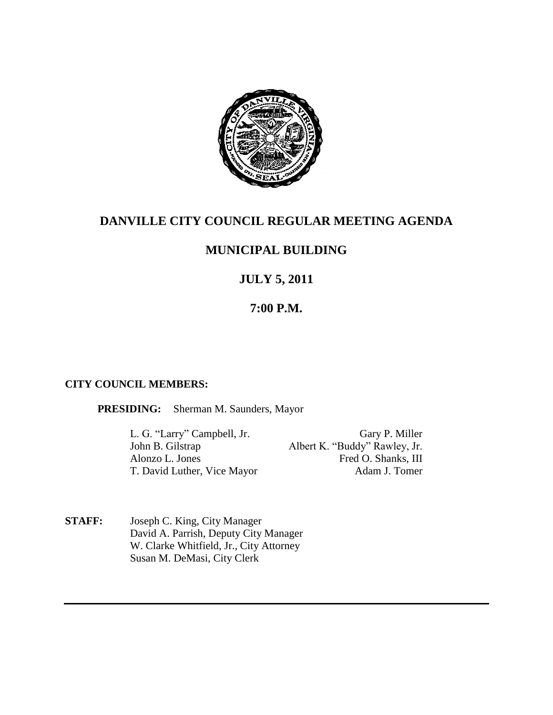

# **DANVILLE CITY COUNCIL REGULAR MEETING AGENDA**

# **MUNICIPAL BUILDING**

# **JULY 5, 2011**

# **7:00 P.M.**

## **CITY COUNCIL MEMBERS:**

**PRESIDING:** Sherman M. Saunders, Mayor

L. G. "Larry" Campbell, Jr. Gary P. Miller Albert K. "Buddy" Rawley, Jr. Alonzo L. Jones Fred O. Shanks, III T. David Luther, Vice Mayor Adam J. Tomer

**STAFF:** Joseph C. King, City Manager David A. Parrish, Deputy City Manager W. Clarke Whitfield, Jr., City Attorney Susan M. DeMasi, City Clerk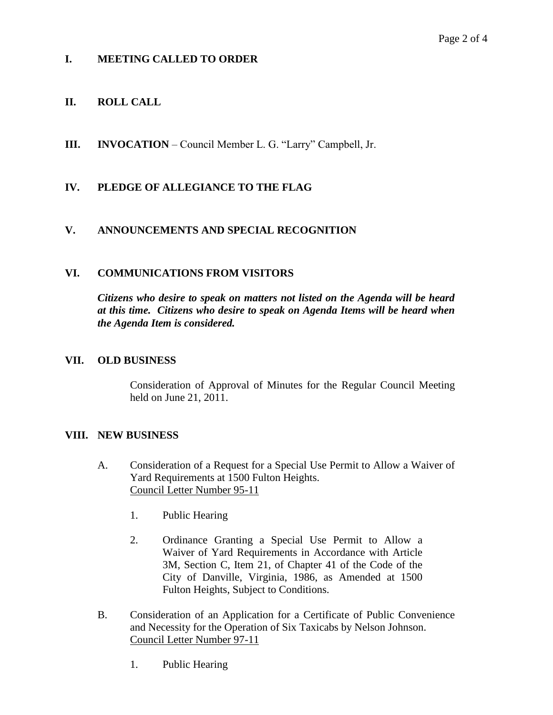# **I. MEETING CALLED TO ORDER**

# **II. ROLL CALL**

**III. INVOCATION** – Council Member L. G. "Larry" Campbell, Jr.

## **IV. PLEDGE OF ALLEGIANCE TO THE FLAG**

#### **V. ANNOUNCEMENTS AND SPECIAL RECOGNITION**

#### **VI. COMMUNICATIONS FROM VISITORS**

*Citizens who desire to speak on matters not listed on the Agenda will be heard at this time. Citizens who desire to speak on Agenda Items will be heard when the Agenda Item is considered.*

#### **VII. OLD BUSINESS**

Consideration of Approval of Minutes for the Regular Council Meeting held on June 21, 2011.

#### **VIII. NEW BUSINESS**

- A. Consideration of a Request for a Special Use Permit to Allow a Waiver of Yard Requirements at 1500 Fulton Heights. Council Letter Number 95-11
	- 1. Public Hearing
	- 2. Ordinance Granting a Special Use Permit to Allow a Waiver of Yard Requirements in Accordance with Article 3M, Section C, Item 21, of Chapter 41 of the Code of the City of Danville, Virginia, 1986, as Amended at 1500 Fulton Heights, Subject to Conditions.
- B. Consideration of an Application for a Certificate of Public Convenience and Necessity for the Operation of Six Taxicabs by Nelson Johnson. Council Letter Number 97-11
	- 1. Public Hearing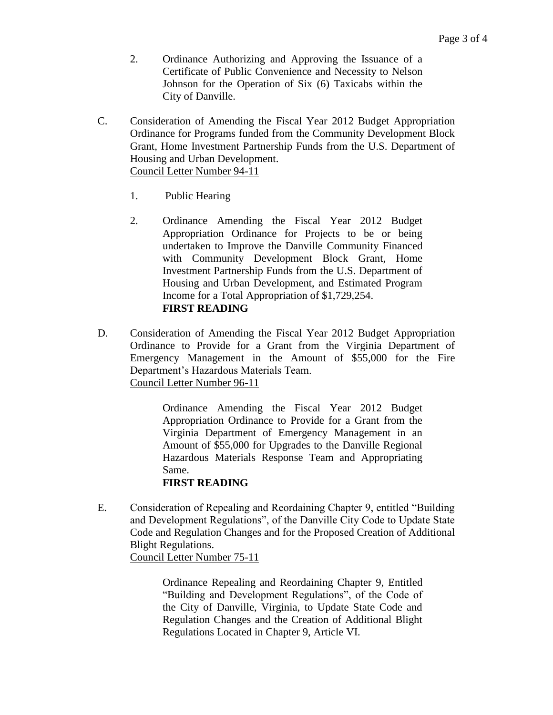- 2. Ordinance Authorizing and Approving the Issuance of a Certificate of Public Convenience and Necessity to Nelson Johnson for the Operation of Six (6) Taxicabs within the City of Danville.
- C. Consideration of Amending the Fiscal Year 2012 Budget Appropriation Ordinance for Programs funded from the Community Development Block Grant, Home Investment Partnership Funds from the U.S. Department of Housing and Urban Development. Council Letter Number 94-11
	- 1. Public Hearing
	- 2. Ordinance Amending the Fiscal Year 2012 Budget Appropriation Ordinance for Projects to be or being undertaken to Improve the Danville Community Financed with Community Development Block Grant, Home Investment Partnership Funds from the U.S. Department of Housing and Urban Development, and Estimated Program Income for a Total Appropriation of \$1,729,254. **FIRST READING**
- D. Consideration of Amending the Fiscal Year 2012 Budget Appropriation Ordinance to Provide for a Grant from the Virginia Department of Emergency Management in the Amount of \$55,000 for the Fire Department's Hazardous Materials Team. Council Letter Number 96-11

Ordinance Amending the Fiscal Year 2012 Budget Appropriation Ordinance to Provide for a Grant from the Virginia Department of Emergency Management in an Amount of \$55,000 for Upgrades to the Danville Regional Hazardous Materials Response Team and Appropriating Same.

## **FIRST READING**

E. Consideration of Repealing and Reordaining Chapter 9, entitled "Building and Development Regulations", of the Danville City Code to Update State Code and Regulation Changes and for the Proposed Creation of Additional Blight Regulations. Council Letter Number 75-11

> Ordinance Repealing and Reordaining Chapter 9, Entitled "Building and Development Regulations", of the Code of the City of Danville, Virginia, to Update State Code and Regulation Changes and the Creation of Additional Blight Regulations Located in Chapter 9, Article VI.